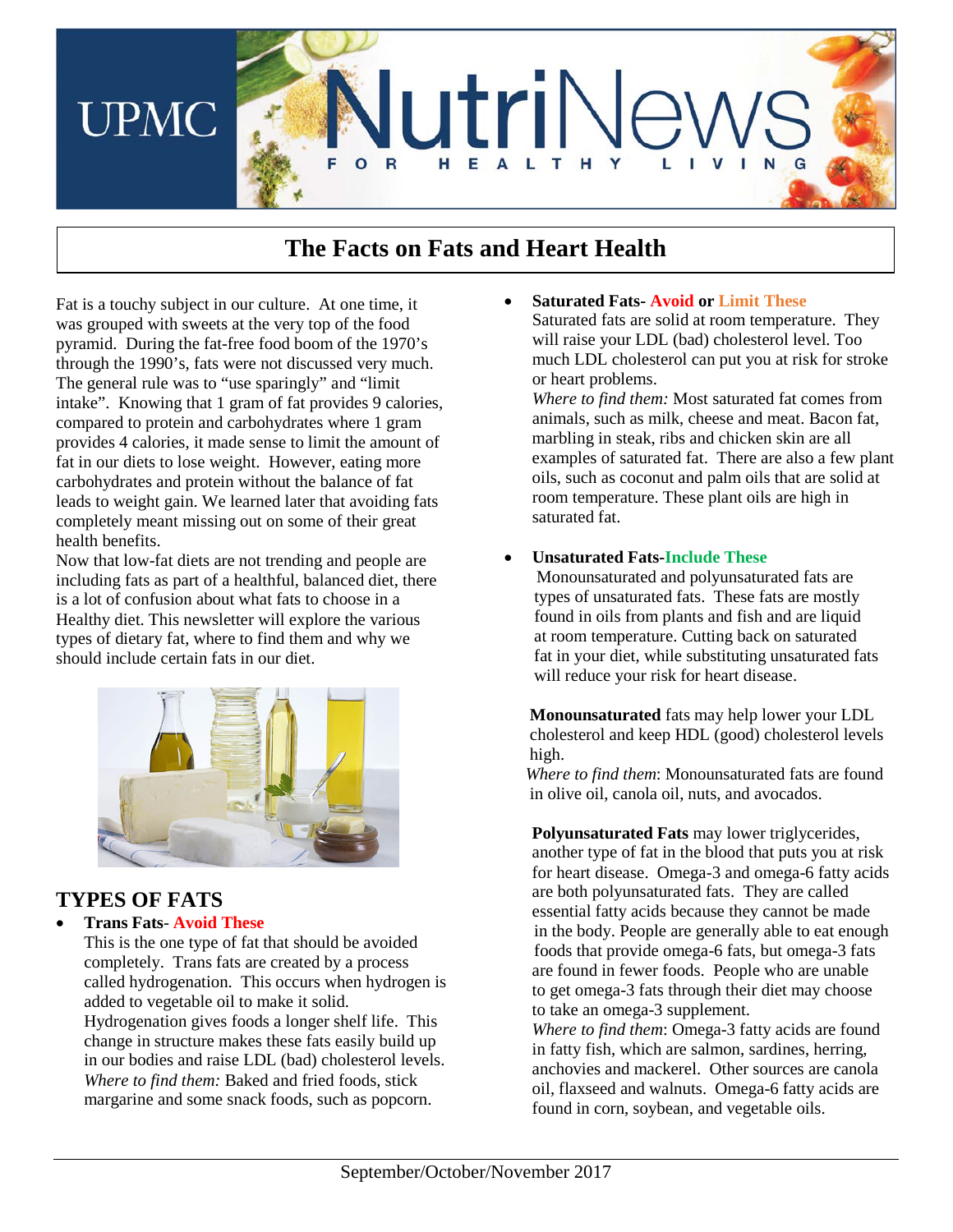

# **The Facts on Fats and Heart Health**

Fat is a touchy subject in our culture. At one time, it was grouped with sweets at the very top of the food pyramid. During the fat-free food boom of the 1970's through the 1990's, fats were not discussed very much. The general rule was to "use sparingly" and "limit intake". Knowing that 1 gram of fat provides 9 calories, compared to protein and carbohydrates where 1 gram provides 4 calories, it made sense to limit the amount of fat in our diets to lose weight. However, eating more carbohydrates and protein without the balance of fat leads to weight gain. We learned later that avoiding fats completely meant missing out on some of their great health benefits.

Now that low-fat diets are not trending and people are including fats as part of a healthful, balanced diet, there is a lot of confusion about what fats to choose in a Healthy diet. This newsletter will explore the various types of dietary fat, where to find them and why we should include certain fats in our diet.



### **TYPES OF FATS**

#### • **Trans Fats**- **Avoid These**

This is the one type of fat that should be avoided completely. Trans fats are created by a process called hydrogenation. This occurs when hydrogen is added to vegetable oil to make it solid.

Hydrogenation gives foods a longer shelf life. This change in structure makes these fats easily build up in our bodies and raise LDL (bad) cholesterol levels. *Where to find them:* Baked and fried foods, stick margarine and some snack foods, such as popcorn.

• **Saturated Fats- Avoid or Limit These** Saturated fats are solid at room temperature. They will raise your LDL (bad) cholesterol level. Too much LDL cholesterol can put you at risk for stroke or heart problems.

*Where to find them:* Most saturated fat comes from animals, such as milk, cheese and meat. Bacon fat, marbling in steak, ribs and chicken skin are all examples of saturated fat. There are also a few plant oils, such as coconut and palm oils that are solid at room temperature. These plant oils are high in saturated fat.

#### • **Unsaturated Fats-Include These**

Monounsaturated and polyunsaturated fats are types of unsaturated fats. These fats are mostly found in oils from plants and fish and are liquid at room temperature. Cutting back on saturated fat in your diet, while substituting unsaturated fats will reduce your risk for heart disease.

 **Monounsaturated** fats may help lower your LDL cholesterol and keep HDL (good) cholesterol levels high.

 *Where to find them*: Monounsaturated fats are found in olive oil, canola oil, nuts, and avocados.

**Polyunsaturated Fats** may lower triglycerides, another type of fat in the blood that puts you at risk for heart disease. Omega-3 and omega-6 fatty acids are both polyunsaturated fats. They are called essential fatty acids because they cannot be made in the body. People are generally able to eat enough foods that provide omega-6 fats, but omega-3 fats are found in fewer foods. People who are unable to get omega-3 fats through their diet may choose to take an omega-3 supplement.

*Where to find them*: Omega-3 fatty acids are found in fatty fish, which are salmon, sardines, herring, anchovies and mackerel. Other sources are canola oil, flaxseed and walnuts. Omega-6 fatty acids are found in corn, soybean, and vegetable oils.